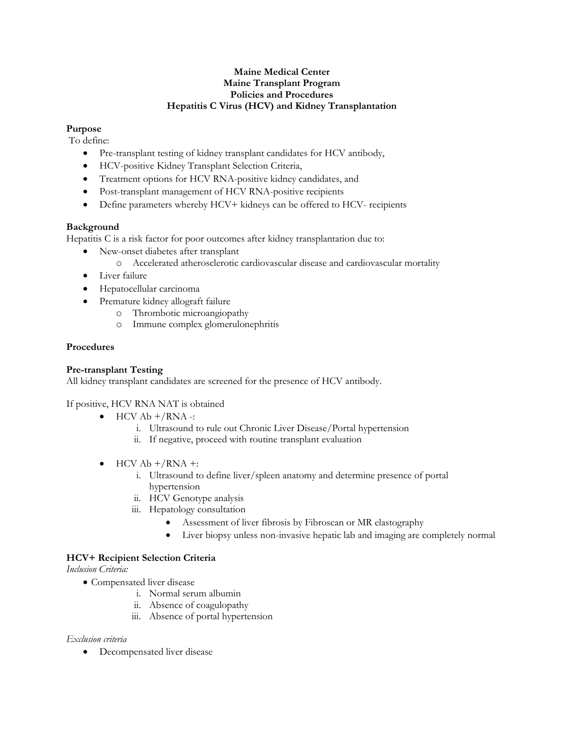## **Maine Medical Center Maine Transplant Program Policies and Procedures Hepatitis C Virus (HCV) and Kidney Transplantation**

# **Purpose**

To define:

- Pre-transplant testing of kidney transplant candidates for HCV antibody,
- HCV-positive Kidney Transplant Selection Criteria,
- Treatment options for HCV RNA-positive kidney candidates, and
- Post-transplant management of HCV RNA-positive recipients
- Define parameters whereby HCV+ kidneys can be offered to HCV- recipients

## **Background**

Hepatitis C is a risk factor for poor outcomes after kidney transplantation due to:

- New-onset diabetes after transplant
	- o Accelerated atherosclerotic cardiovascular disease and cardiovascular mortality
- Liver failure
- Hepatocellular carcinoma
- Premature kidney allograft failure
	- o Thrombotic microangiopathy
	- o Immune complex glomerulonephritis

## **Procedures**

## **Pre-transplant Testing**

All kidney transplant candidates are screened for the presence of HCV antibody.

If positive, HCV RNA NAT is obtained

- $\bullet$  HCV Ab  $+/RNA$  -:
	- i. Ultrasound to rule out Chronic Liver Disease/Portal hypertension
	- ii. If negative, proceed with routine transplant evaluation
- $\bullet$  HCV Ab  $+/RNA +$ :
	- i. Ultrasound to define liver/spleen anatomy and determine presence of portal hypertension
	- ii. HCV Genotype analysis
	- iii. Hepatology consultation
		- Assessment of liver fibrosis by Fibroscan or MR elastography
		- Liver biopsy unless non-invasive hepatic lab and imaging are completely normal

## **HCV+ Recipient Selection Criteria**

*Inclusion Criteria:*

- Compensated liver disease
	- i. Normal serum albumin
		- ii. Absence of coagulopathy
	- iii. Absence of portal hypertension

## *Exclusion criteria*

Decompensated liver disease